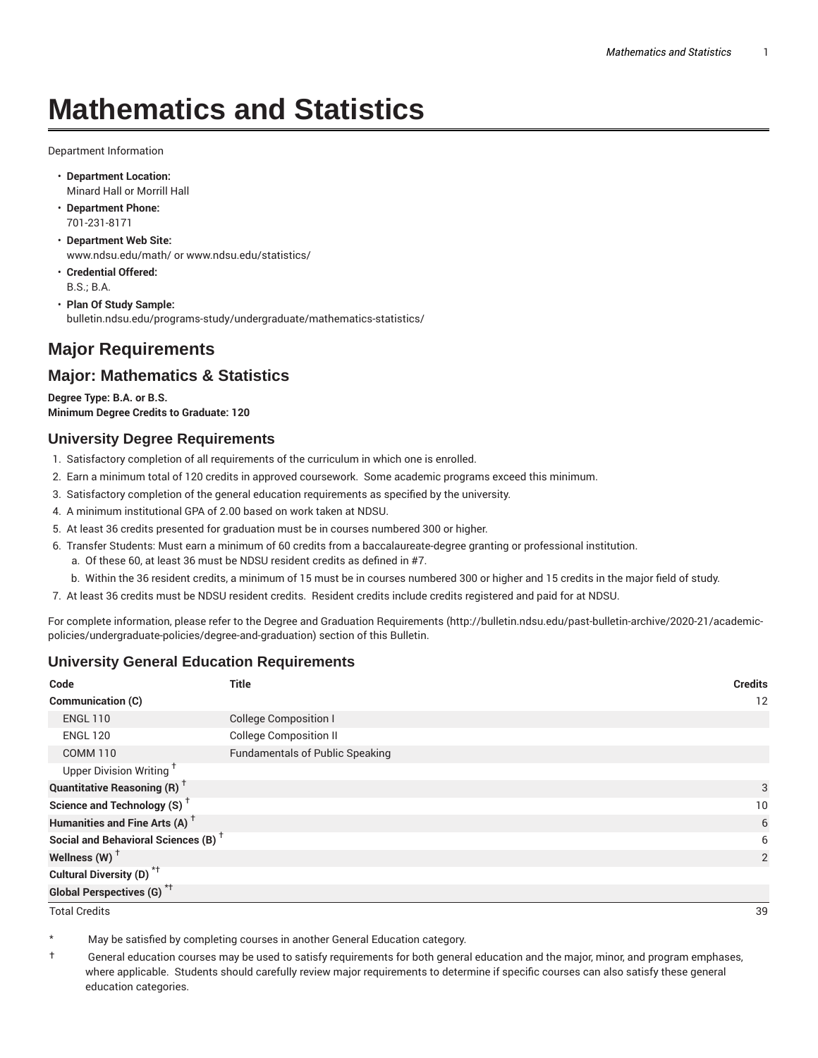# **Mathematics and Statistics**

Department Information

- **Department Location:** Minard Hall or Morrill Hall
- **Department Phone:** 701-231-8171
- **Department Web Site:** www.ndsu.edu/math/ or www.ndsu.edu/statistics/
- **Credential Offered:** B.S.; B.A.
- **Plan Of Study Sample:** bulletin.ndsu.edu/programs-study/undergraduate/mathematics-statistics/

# **Major Requirements**

## **Major: Mathematics & Statistics**

**Degree Type: B.A. or B.S. Minimum Degree Credits to Graduate: 120**

## **University Degree Requirements**

- 1. Satisfactory completion of all requirements of the curriculum in which one is enrolled.
- 2. Earn a minimum total of 120 credits in approved coursework. Some academic programs exceed this minimum.
- 3. Satisfactory completion of the general education requirements as specified by the university.
- 4. A minimum institutional GPA of 2.00 based on work taken at NDSU.
- 5. At least 36 credits presented for graduation must be in courses numbered 300 or higher.
- 6. Transfer Students: Must earn a minimum of 60 credits from a baccalaureate-degree granting or professional institution.
	- a. Of these 60, at least 36 must be NDSU resident credits as defined in #7.
	- b. Within the 36 resident credits, a minimum of 15 must be in courses numbered 300 or higher and 15 credits in the major field of study.
- 7. At least 36 credits must be NDSU resident credits. Resident credits include credits registered and paid for at NDSU.

For complete information, please refer to the Degree and Graduation Requirements (http://bulletin.ndsu.edu/past-bulletin-archive/2020-21/academicpolicies/undergraduate-policies/degree-and-graduation) section of this Bulletin.

## **University General Education Requirements**

| Code                                            | <b>Title</b>                           | <b>Credits</b> |
|-------------------------------------------------|----------------------------------------|----------------|
| Communication (C)                               |                                        | 12             |
| <b>ENGL 110</b>                                 | <b>College Composition I</b>           |                |
| <b>ENGL 120</b>                                 | <b>College Composition II</b>          |                |
| <b>COMM 110</b>                                 | <b>Fundamentals of Public Speaking</b> |                |
| Upper Division Writing <sup>+</sup>             |                                        |                |
| <b>Quantitative Reasoning (R)</b> <sup>†</sup>  |                                        | 3              |
| Science and Technology (S) <sup>+</sup>         |                                        | 10             |
| Humanities and Fine Arts (A) <sup>+</sup>       |                                        | 6              |
| Social and Behavioral Sciences (B) <sup>+</sup> |                                        | 6              |
| Wellness $(W)$ <sup>+</sup>                     |                                        | 2              |
| Cultural Diversity (D) <sup>*†</sup>            |                                        |                |
| <b>Global Perspectives (G)<sup>*†</sup></b>     |                                        |                |

Total Credits 39

May be satisfied by completing courses in another General Education category.

† General education courses may be used to satisfy requirements for both general education and the major, minor, and program emphases, where applicable. Students should carefully review major requirements to determine if specific courses can also satisfy these general education categories.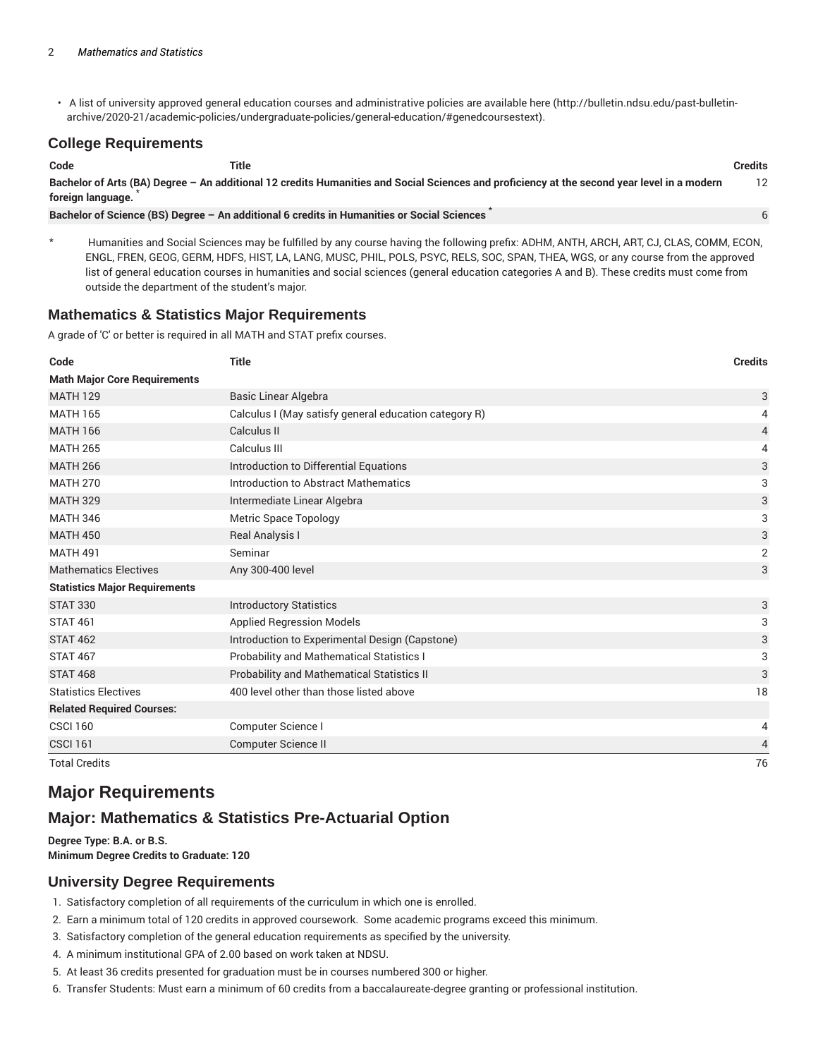• A list of university approved general education courses and administrative policies are available here (http://bulletin.ndsu.edu/past-bulletinarchive/2020-21/academic-policies/undergraduate-policies/general-education/#genedcoursestext).

## **College Requirements**

| Code                                                                                                                                                             | Title                                                                                      | Credits |
|------------------------------------------------------------------------------------------------------------------------------------------------------------------|--------------------------------------------------------------------------------------------|---------|
| Bachelor of Arts (BA) Degree – An additional 12 credits Humanities and Social Sciences and proficiency at the second year level in a modern<br>foreign language. |                                                                                            |         |
|                                                                                                                                                                  | Bachelor of Science (BS) Degree - An additional 6 credits in Humanities or Social Sciences |         |

Humanities and Social Sciences may be fulfilled by any course having the following prefix: ADHM, ANTH, ARCH, ART, CJ, CLAS, COMM, ECON, ENGL, FREN, GEOG, GERM, HDFS, HIST, LA, LANG, MUSC, PHIL, POLS, PSYC, RELS, SOC, SPAN, THEA, WGS, or any course from the approved list of general education courses in humanities and social sciences (general education categories A and B). These credits must come from outside the department of the student's major.

## **Mathematics & Statistics Major Requirements**

A grade of 'C' or better is required in all MATH and STAT prefix courses.

| Code                                 | <b>Title</b>                                          | <b>Credits</b> |
|--------------------------------------|-------------------------------------------------------|----------------|
| <b>Math Major Core Requirements</b>  |                                                       |                |
| <b>MATH 129</b>                      | <b>Basic Linear Algebra</b>                           | 3              |
| <b>MATH 165</b>                      | Calculus I (May satisfy general education category R) | 4              |
| <b>MATH 166</b>                      | Calculus II                                           | 4              |
| <b>MATH 265</b>                      | Calculus III                                          | 4              |
| <b>MATH 266</b>                      | Introduction to Differential Equations                | 3              |
| <b>MATH 270</b>                      | Introduction to Abstract Mathematics                  | 3              |
| <b>MATH 329</b>                      | Intermediate Linear Algebra                           | 3              |
| <b>MATH 346</b>                      | Metric Space Topology                                 | 3              |
| <b>MATH 450</b>                      | Real Analysis I                                       | 3              |
| <b>MATH 491</b>                      | Seminar                                               | $\overline{2}$ |
| <b>Mathematics Electives</b>         | Any 300-400 level                                     | 3              |
| <b>Statistics Major Requirements</b> |                                                       |                |
| <b>STAT 330</b>                      | <b>Introductory Statistics</b>                        | 3              |
| <b>STAT 461</b>                      | <b>Applied Regression Models</b>                      | 3              |
| <b>STAT 462</b>                      | Introduction to Experimental Design (Capstone)        | 3              |
| <b>STAT 467</b>                      | Probability and Mathematical Statistics I             | 3              |
| <b>STAT 468</b>                      | <b>Probability and Mathematical Statistics II</b>     | 3              |
| <b>Statistics Electives</b>          | 400 level other than those listed above               | 18             |
| <b>Related Required Courses:</b>     |                                                       |                |
| <b>CSCI 160</b>                      | Computer Science I                                    | 4              |
| <b>CSCI 161</b>                      | Computer Science II                                   | 4              |
| <b>Total Credits</b>                 |                                                       | 76             |

# **Major Requirements**

# **Major: Mathematics & Statistics Pre-Actuarial Option**

**Degree Type: B.A. or B.S. Minimum Degree Credits to Graduate: 120**

## **University Degree Requirements**

- 1. Satisfactory completion of all requirements of the curriculum in which one is enrolled.
- 2. Earn a minimum total of 120 credits in approved coursework. Some academic programs exceed this minimum.
- 3. Satisfactory completion of the general education requirements as specified by the university.
- 4. A minimum institutional GPA of 2.00 based on work taken at NDSU.
- 5. At least 36 credits presented for graduation must be in courses numbered 300 or higher.
- 6. Transfer Students: Must earn a minimum of 60 credits from a baccalaureate-degree granting or professional institution.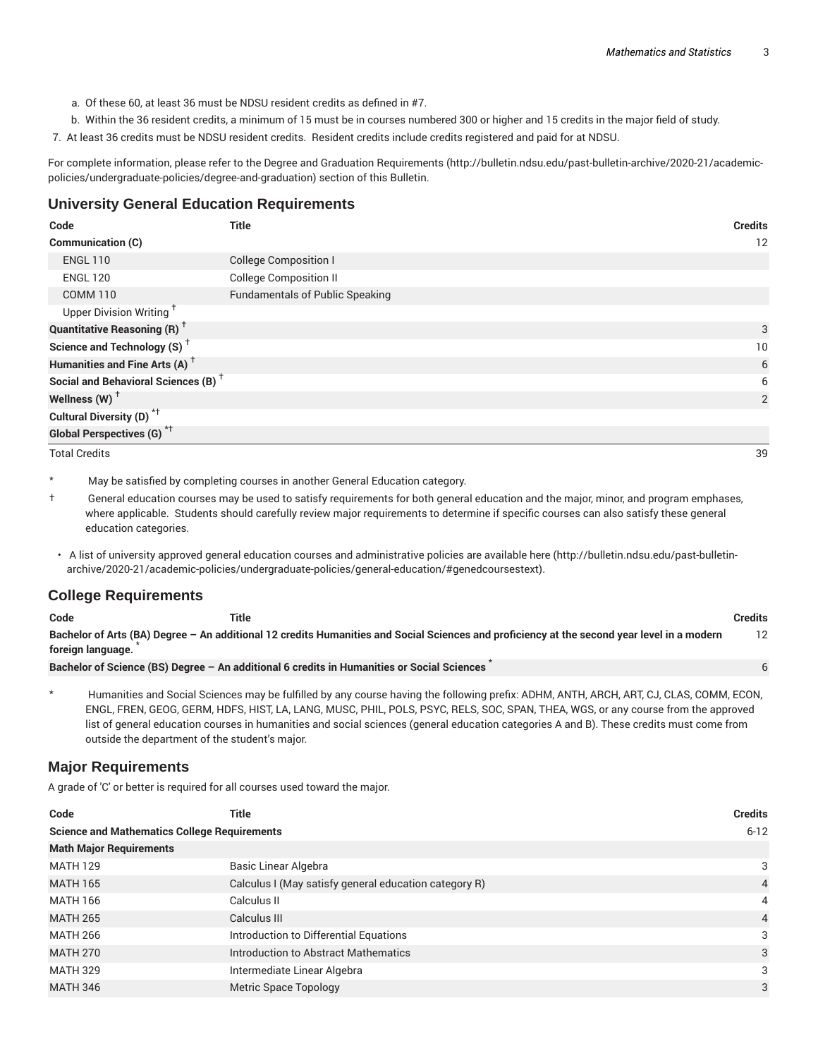- a. Of these 60, at least 36 must be NDSU resident credits as defined in #7.
- b. Within the 36 resident credits, a minimum of 15 must be in courses numbered 300 or higher and 15 credits in the major field of study.
- 7. At least 36 credits must be NDSU resident credits. Resident credits include credits registered and paid for at NDSU.

For complete information, please refer to the Degree and Graduation Requirements (http://bulletin.ndsu.edu/past-bulletin-archive/2020-21/academicpolicies/undergraduate-policies/degree-and-graduation) section of this Bulletin.

#### **University General Education Requirements**

| Code                                            | <b>Title</b>                           | <b>Credits</b> |
|-------------------------------------------------|----------------------------------------|----------------|
| <b>Communication (C)</b>                        |                                        | 12             |
| <b>ENGL 110</b>                                 | <b>College Composition I</b>           |                |
| <b>ENGL 120</b>                                 | <b>College Composition II</b>          |                |
| <b>COMM 110</b>                                 | <b>Fundamentals of Public Speaking</b> |                |
| Upper Division Writing <sup>†</sup>             |                                        |                |
| <b>Quantitative Reasoning (R)</b> <sup>†</sup>  |                                        | 3              |
| Science and Technology (S) <sup>+</sup>         |                                        | 10             |
| Humanities and Fine Arts (A) <sup>+</sup>       |                                        | 6              |
| Social and Behavioral Sciences (B) <sup>+</sup> |                                        | 6              |
| Wellness $(W)$ <sup>†</sup>                     |                                        | 2              |
| Cultural Diversity (D) <sup>*†</sup>            |                                        |                |
| <b>Global Perspectives (G)</b> <sup>*†</sup>    |                                        |                |
| <b>Total Credits</b>                            |                                        | 39             |

May be satisfied by completing courses in another General Education category.

† General education courses may be used to satisfy requirements for both general education and the major, minor, and program emphases, where applicable. Students should carefully review major requirements to determine if specific courses can also satisfy these general education categories.

• A list of university approved general education courses and administrative policies are available here (http://bulletin.ndsu.edu/past-bulletinarchive/2020-21/academic-policies/undergraduate-policies/general-education/#genedcoursestext).

## **College Requirements**

| Code              | Title                                                                                                                                       | <b>Credits</b> |
|-------------------|---------------------------------------------------------------------------------------------------------------------------------------------|----------------|
|                   | Bachelor of Arts (BA) Degree – An additional 12 credits Humanities and Social Sciences and proficiency at the second year level in a modern |                |
| foreign language. |                                                                                                                                             |                |
|                   | Bachelor of Science (BS) Degree - An additional 6 credits in Humanities or Social Sciences                                                  |                |

\* Humanities and Social Sciences may be fulfilled by any course having the following prefix: ADHM, ANTH, ARCH, ART, CJ, CLAS, COMM, ECON, ENGL, FREN, GEOG, GERM, HDFS, HIST, LA, LANG, MUSC, PHIL, POLS, PSYC, RELS, SOC, SPAN, THEA, WGS, or any course from the approved list of general education courses in humanities and social sciences (general education categories A and B). These credits must come from outside the department of the student's major.

#### **Major Requirements**

A grade of 'C' or better is required for all courses used toward the major.

| Code                                                | Title                                                 | <b>Credits</b> |
|-----------------------------------------------------|-------------------------------------------------------|----------------|
| <b>Science and Mathematics College Requirements</b> |                                                       | $6 - 12$       |
| <b>Math Major Requirements</b>                      |                                                       |                |
| <b>MATH 129</b>                                     | Basic Linear Algebra                                  | 3              |
| <b>MATH 165</b>                                     | Calculus I (May satisfy general education category R) | $\overline{4}$ |
| <b>MATH 166</b>                                     | Calculus II                                           | 4              |
| <b>MATH 265</b>                                     | Calculus III                                          | $\overline{4}$ |
| <b>MATH 266</b>                                     | Introduction to Differential Equations                | 3              |
| <b>MATH 270</b>                                     | Introduction to Abstract Mathematics                  | 3              |
| <b>MATH 329</b>                                     | Intermediate Linear Algebra                           | 3              |
| <b>MATH 346</b>                                     | Metric Space Topology                                 | 3              |